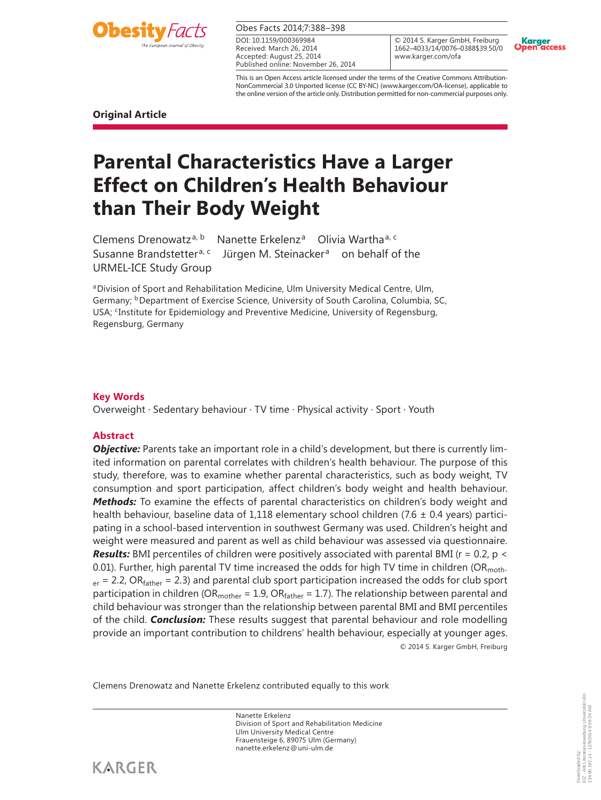

Received: March 26, 2014 Accepted: August 25, 2014 Published online: November 26, 2014 DOI: 10.1159/000369984

© 2014 S. Karger GmbH, Freiburg 1662–4033/14/0076–0388\$39.50/0 www.karger.com/ofa



This is an Open Access article licensed under the terms of the Creative Commons Attribution-NonCommercial 3.0 Unported license (CC BY-NC) (www.karger.com/OA-license), applicable to the online version of the article only. Distribution permitted for non-commercial purposes only.

**Original Article** 

# **Parental Characteristics Have a Larger Effect on Children's Health Behaviour than Their Body Weight**

Clemens Drenowatz<sup>a, b</sup> Nanette Erkelenz<sup>a</sup> Olivia Wartha<sup>a, c</sup> Susanne Brandstetter<sup>a, c</sup> Jürgen M. Steinacker<sup>a</sup> on behalf of the URMEL-ICE Study Group

aDivision of Sport and Rehabilitation Medicine, Ulm University Medical Centre, Ulm, Germany; <sup>b</sup>Department of Exercise Science, University of South Carolina, Columbia, SC, USA; CInstitute for Epidemiology and Preventive Medicine, University of Regensburg, Regensburg, Germany

# **Key Words**

Overweight · Sedentary behaviour · TV time · Physical activity · Sport · Youth

## **Abstract**

**Objective:** Parents take an important role in a child's development, but there is currently limited information on parental correlates with children's health behaviour. The purpose of this study, therefore, was to examine whether parental characteristics, such as body weight, TV consumption and sport participation, affect children's body weight and health behaviour. *Methods:* To examine the effects of parental characteristics on children's body weight and health behaviour, baseline data of 1,118 elementary school children (7.6 ± 0.4 years) participating in a school-based intervention in southwest Germany was used. Children's height and weight were measured and parent as well as child behaviour was assessed via questionnaire. **Results:** BMI percentiles of children were positively associated with parental BMI (r = 0.2, p < 0.01). Further, high parental TV time increased the odds for high TV time in children (OR $_{\text{month}}$  $_{\text{er}}$  = 2.2, OR<sub>father</sub> = 2.3) and parental club sport participation increased the odds for club sport participation in children (OR $_{mother}$  = 1.9, OR $_{father}$  = 1.7). The relationship between parental and child behaviour was stronger than the relationship between parental BMI and BMI percentiles of the child. *Conclusion:* These results suggest that parental behaviour and role modelling provide an important contribution to childrens' health behaviour, especially at younger ages. © 2014 S. Karger GmbH, Freiburg

Clemens Drenowatz and Nanette Erkelenz contributed equally to this work

Nanette Erkelenz Division of Sport and Rehabilitation Medicine Ulm University Medical Centre Frauensteige 6, 89075 Ulm (Germany) nanette.erkelenz @ uni-ulm.de



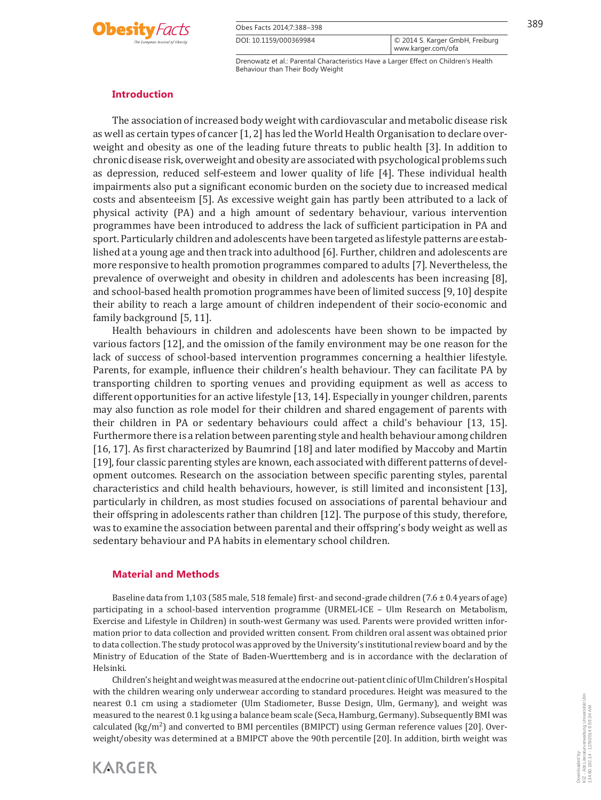

| Obes Facts 2014:7:388-398 |                                                       | 389 |
|---------------------------|-------------------------------------------------------|-----|
| DOI: 10.1159/000369984    | © 2014 S. Karger GmbH, Freiburg<br>www.karger.com/ofa |     |

#### **Introduction**

 The association of increased body weight with cardiovascular and metabolic disease risk as well as certain types of cancer [1, 2] has led the World Health Organisation to declare overweight and obesity as one of the leading future threats to public health [3]. In addition to chronic disease risk, overweight and obesity are associated with psychological problems such as depression, reduced self-esteem and lower quality of life [4] . These individual health impairments also put a significant economic burden on the society due to increased medical costs and absenteeism [5] . As excessive weight gain has partly been attributed to a lack of physical activity (PA) and a high amount of sedentary behaviour, various intervention programmes have been introduced to address the lack of sufficient participation in PA and sport. Particularly children and adolescents have been targeted as lifestyle patterns are established at a young age and then track into adulthood [6] . Further, children and adolescents are more responsive to health promotion programmes compared to adults [7] . Nevertheless, the prevalence of overweight and obesity in children and adolescents has been increasing [8], and school-based health promotion programmes have been of limited success [9, 10] despite their ability to reach a large amount of children independent of their socio-economic and family background [5, 11].

 Health behaviours in children and adolescents have been shown to be impacted by various factors [12] , and the omission of the family environment may be one reason for the lack of success of school-based intervention programmes concerning a healthier lifestyle. Parents, for example, influence their children's health behaviour. They can facilitate PA by transporting children to sporting venues and providing equipment as well as access to different opportunities for an active lifestyle [13, 14] . Especially in younger children, parents may also function as role model for their children and shared engagement of parents with their children in PA or sedentary behaviours could affect a child's behaviour [13, 15] . Furthermore there is a relation between parenting style and health behaviour among children [16, 17] . As first characterized by Baumrind [18] and later modified by Maccoby and Martin [19] , four classic parenting styles are known, each associated with different patterns of development outcomes. Research on the association between specific parenting styles, parental characteristics and child health behaviours, however, is still limited and inconsistent [13] , particularly in children, as most studies focused on associations of parental behaviour and their offspring in adolescents rather than children [12] . The purpose of this study, therefore, was to examine the association between parental and their offspring's body weight as well as sedentary behaviour and PA habits in elementary school children.

#### **Material and Methods**

 Baseline data from 1,103 (585 male, 518 female) first- and second-grade children (7.6 ± 0.4 years of age) participating in a school-based intervention programme (URMEL-ICE – Ulm Research on Metabolism, Exercise and Lifestyle in Children) in south-west Germany was used. Parents were provided written information prior to data collection and provided written consent. From children oral assent was obtained prior to data collection. The study protocol was approved by the University's institutional review board and by the Ministry of Education of the State of Baden-Wuerttemberg and is in accordance with the declaration of Helsinki.

 Children's height and weight was measured at the endocrine out-patient clinic of Ulm Children's Hospital with the children wearing only underwear according to standard procedures. Height was measured to the nearest 0.1 cm using a stadiometer (Ulm Stadiometer, Busse Design, Ulm, Germany), and weight was measured to the nearest 0.1 kg using a balance beam scale (Seca, Hamburg, Germany). Subsequently BMI was calculated (kg/m<sup>2</sup>) and converted to BMI percentiles (BMIPCT) using German reference values [20]. Overweight/obesity was determined at a BMIPCT above the 90th percentile [20] . In addition, birth weight was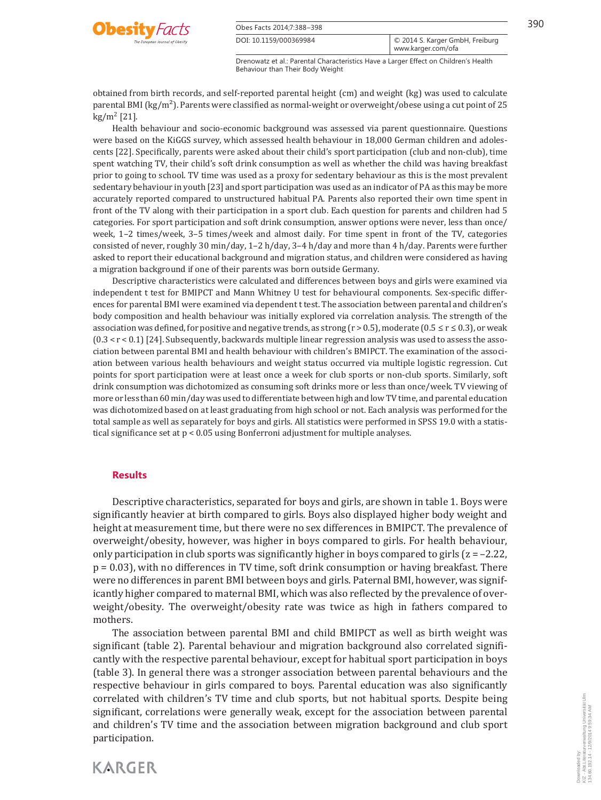

| Obes Facts 2014:7:388-398 |                                                       | 390 |
|---------------------------|-------------------------------------------------------|-----|
| DOI: 10.1159/000369984    | © 2014 S. Karger GmbH, Freiburg<br>www.karger.com/ofa |     |

obtained from birth records, and self-reported parental height (cm) and weight (kg) was used to calculate parental BMI (kg/m<sup>2</sup>). Parents were classified as normal-weight or overweight/obese using a cut point of 25  $kg/m<sup>2</sup>$  [21].

 Health behaviour and socio-economic background was assessed via parent questionnaire. Questions were based on the KiGGS survey, which assessed health behaviour in 18,000 German children and adolescents [22] . Specifically, parents were asked about their child's sport participation (club and non-club), time spent watching TV, their child's soft drink consumption as well as whether the child was having breakfast prior to going to school. TV time was used as a proxy for sedentary behaviour as this is the most prevalent sedentary behaviour in youth [23] and sport participation was used as an indicator of PA as this may be more accurately reported compared to unstructured habitual PA. Parents also reported their own time spent in front of the TV along with their participation in a sport club. Each question for parents and children had 5 categories. For sport participation and soft drink consumption, answer options were never, less than once/ week, 1–2 times/week, 3–5 times/week and almost daily. For time spent in front of the TV, categories consisted of never, roughly 30 min/day, 1–2 h/day, 3–4 h/day and more than 4 h/day. Parents were further asked to report their educational background and migration status, and children were considered as having a migration background if one of their parents was born outside Germany.

 Descriptive characteristics were calculated and differences between boys and girls were examined via independent t test for BMIPCT and Mann Whitney U test for behavioural components. Sex-specific differences for parental BMI were examined via dependent t test. The association between parental and children's body composition and health behaviour was initially explored via correlation analysis. The strength of the association was defined, for positive and negative trends, as strong ( $r > 0.5$ ), moderate ( $0.5 \le r \le 0.3$ ), or weak (0.3 < r < 0.1) [24] . Subsequently, backwards multiple linear regression analysis was used to assess the association between parental BMI and health behaviour with children's BMIPCT. The examination of the association between various health behaviours and weight status occurred via multiple logistic regression. Cut points for sport participation were at least once a week for club sports or non-club sports. Similarly, soft drink consumption was dichotomized as consuming soft drinks more or less than once/week. TV viewing of more or less than 60 min/day was used to differentiate between high and low TV time, and parental education was dichotomized based on at least graduating from high school or not. Each analysis was performed for the total sample as well as separately for boys and girls. All statistics were performed in SPSS 19.0 with a statistical significance set at p < 0.05 using Bonferroni adjustment for multiple analyses.

## **Results**

**KARGER** 

 Descriptive characteristics, separated for boys and girls, are shown in table 1 . Boys were significantly heavier at birth compared to girls. Boys also displayed higher body weight and height at measurement time, but there were no sex differences in BMIPCT. The prevalence of overweight/obesity, however, was higher in boys compared to girls. For health behaviour, only participation in club sports was significantly higher in boys compared to girls  $(z = -2.22$ , p = 0.03), with no differences in TV time, soft drink consumption or having breakfast. There were no differences in parent BMI between boys and girls. Paternal BMI, however, was significantly higher compared to maternal BMI, which was also reflected by the prevalence of overweight/obesity. The overweight/obesity rate was twice as high in fathers compared to mothers.

 The association between parental BMI and child BMIPCT as well as birth weight was significant (table 2). Parental behaviour and migration background also correlated significantly with the respective parental behaviour, except for habitual sport participation in boys ( table 3 ). In general there was a stronger association between parental behaviours and the respective behaviour in girls compared to boys. Parental education was also significantly correlated with children's TV time and club sports, but not habitual sports. Despite being significant, correlations were generally weak, except for the association between parental and children's TV time and the association between migration background and club sport participation.

134.60.192.14 - 12/9/2014 9:59:34 AM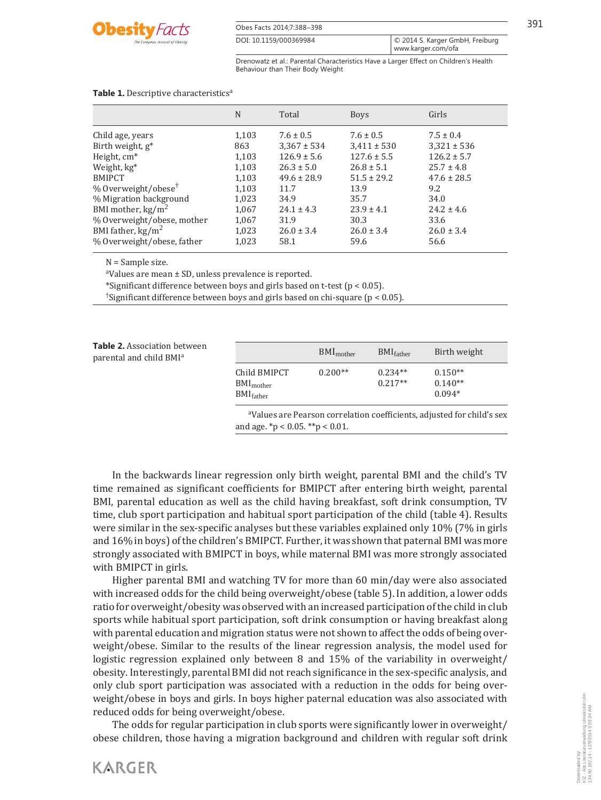

| Obes Facts 2014:7:388-398 |                                                               | 391 |
|---------------------------|---------------------------------------------------------------|-----|
| DOI: 10.1159/000369984    | $\circ$ 2014 S. Karger GmbH, Freiburg<br>l www.karger.com/ofa |     |

|  |  |  |  |  | Table 1. Descriptive characteristics <sup>a</sup> |
|--|--|--|--|--|---------------------------------------------------|
|--|--|--|--|--|---------------------------------------------------|

|                                 | N     | Total           | <b>Boys</b>     | Girls           |
|---------------------------------|-------|-----------------|-----------------|-----------------|
| Child age, years                | 1,103 | $7.6 \pm 0.5$   | $7.6 \pm 0.5$   | $7.5 \pm 0.4$   |
| Birth weight, $g^*$             | 863   | $3,367 \pm 534$ | $3,411 \pm 530$ | $3.321 \pm 536$ |
| Height, cm <sup>*</sup>         | 1,103 | $126.9 \pm 5.6$ | $127.6 \pm 5.5$ | $126.2 \pm 5.7$ |
| Weight, kg*                     | 1,103 | $26.3 \pm 5.0$  | $26.8 \pm 5.1$  | $25.7 \pm 4.8$  |
| <b>BMIPCT</b>                   | 1.103 | $49.6 \pm 28.9$ | $51.5 \pm 29.2$ | $47.6 \pm 28.5$ |
| % Overweight/obese <sup>†</sup> | 1,103 | 11.7            | 13.9            | 9.2             |
| % Migration background          | 1,023 | 34.9            | 35.7            | 34.0            |
| BMI mother, $\text{kg/m}^2$     | 1.067 | $24.1 \pm 4.3$  | $23.9 \pm 4.1$  | $24.2 \pm 4.6$  |
| % Overweight/obese, mother      | 1,067 | 31.9            | 30.3            | 33.6            |
| BMI father, $\text{kg/m}^2$     | 1,023 | $26.0 \pm 3.4$  | $26.0 \pm 3.4$  | $26.0 \pm 3.4$  |
| % Overweight/obese, father      | 1,023 | 58.1            | 59.6            | 56.6            |

N = Sample size.

**KARGER** 

a Values are mean ± SD, unless prevalence is reported.

\*Significant difference between boys and girls based on t-test (p < 0.05).

†Significant difference between boys and girls based on chi-square (p < 0.05).

| <b>Table 2.</b> Association between<br>parental and child BMI <sup>a</sup> |                                                                | BMI <sub>mother</sub> | $BMI_{\text{father}}$  | Birth weight                       |
|----------------------------------------------------------------------------|----------------------------------------------------------------|-----------------------|------------------------|------------------------------------|
|                                                                            | Child BMIPCT<br>BMI <sub>mother</sub><br>$BMI_{\text{father}}$ | $0.200**$             | $0.234**$<br>$0.217**$ | $0.150**$<br>$0.140**$<br>$0.094*$ |

<sup>a</sup>Values are Pearson correlation coefficients, adjusted for child's sex and age. \*p < 0.05. \*\*p < 0.01.

 In the backwards linear regression only birth weight, parental BMI and the child's TV time remained as significant coefficients for BMIPCT after entering birth weight, parental BMI, parental education as well as the child having breakfast, soft drink consumption, TV time, club sport participation and habitual sport participation of the child (table 4). Results were similar in the sex-specific analyses but these variables explained only 10% (7% in girls and 16% in boys) of the children's BMIPCT. Further, it was shown that paternal BMI was more strongly associated with BMIPCT in boys, while maternal BMI was more strongly associated with BMIPCT in girls.

 Higher parental BMI and watching TV for more than 60 min/day were also associated with increased odds for the child being overweight/obese (table 5). In addition, a lower odds ratio for overweight/obesity was observed with an increased participation of the child in club sports while habitual sport participation, soft drink consumption or having breakfast along with parental education and migration status were not shown to affect the odds of being overweight/obese. Similar to the results of the linear regression analysis, the model used for logistic regression explained only between 8 and 15% of the variability in overweight/ obesity. Interestingly, parental BMI did not reach significance in the sex-specific analysis, and only club sport participation was associated with a reduction in the odds for being overweight/obese in boys and girls. In boys higher paternal education was also associated with reduced odds for being overweight/obese.

 The odds for regular participation in club sports were significantly lower in overweight/ obese children, those having a migration background and children with regular soft drink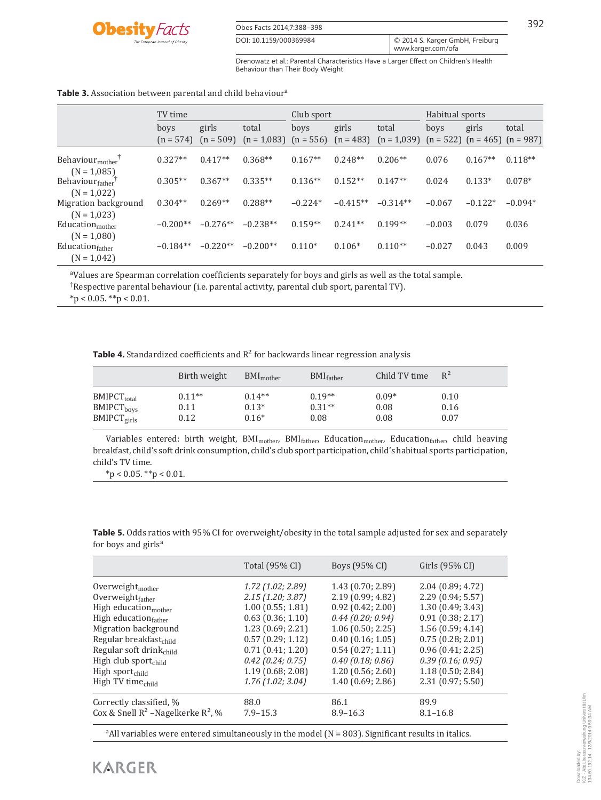

| Obes Facts 2014:7:388-398 |                                                       | 392 |
|---------------------------|-------------------------------------------------------|-----|
| DOI: 10.1159/000369984    | © 2014 S. Karger GmbH, Freiburg<br>www.karger.com/ofa |     |

| Table 3. Association between parental and child behaviour <sup>a</sup> |  |
|------------------------------------------------------------------------|--|
|------------------------------------------------------------------------|--|

|                                              | TV time     |             |                           | Club sport             |            |                           | Habitual sports        |           |                                     |
|----------------------------------------------|-------------|-------------|---------------------------|------------------------|------------|---------------------------|------------------------|-----------|-------------------------------------|
|                                              | boys        | girls       | total                     | girls<br>total<br>boys |            |                           | girls<br>total<br>boys |           |                                     |
|                                              | $(n = 574)$ | $(n = 509)$ | $(n = 1,083)$ $(n = 556)$ |                        |            | $(n = 483)$ $(n = 1,039)$ |                        |           | $(n = 522)$ $(n = 465)$ $(n = 987)$ |
| Behaviour <sub>mother</sub><br>$(N = 1,085)$ | $0.327**$   | $0.417**$   | $0.368**$                 | $0.167**$              | $0.248**$  | $0.206**$                 | 0.076                  | $0.167**$ | $0.118**$                           |
| Behaviourfather<br>$(N = 1,022)$             | $0.305**$   | $0.367**$   | $0.335**$                 | $0.136**$              | $0.152**$  | $0.147**$                 | 0.024                  | $0.133*$  | $0.078*$                            |
| Migration background<br>$(N = 1,023)$        | $0.304**$   | $0.269**$   | $0.288**$                 | $-0.224*$              | $-0.415**$ | $-0.314**$                | $-0.067$               | $-0.122*$ | $-0.094*$                           |
| Education <sub>mother</sub><br>$(N = 1,080)$ | $-0.200**$  | $-0.276**$  | $-0.238**$                | $0.159**$              | $0.241**$  | $0.199**$                 | $-0.003$               | 0.079     | 0.036                               |
| $Education_{father}$<br>$(N = 1,042)$        | $-0.184**$  | $-0.220**$  | $-0.200**$                | $0.110*$               | $0.106*$   | $0.110**$                 | $-0.027$               | 0.043     | 0.009                               |

a Values are Spearman correlation coefficients separately for boys and girls as well as the total sample.

†Respective parental behaviour (i.e. parental activity, parental club sport, parental TV).

 $*$ p < 0.05. \*\*p < 0.01.

| <b>able 4.</b> Standardized coefficients and $R^2$ for backwards linear regression analysis |  |  |  |  |
|---------------------------------------------------------------------------------------------|--|--|--|--|
|                                                                                             |  |  |  |  |

|                         | Birth weight | BMI <sub>mother</sub> | $BMI_{father}$ | Child TV time | $R^2$ |
|-------------------------|--------------|-----------------------|----------------|---------------|-------|
| $BMIPCT_{total}$        | $0.11**$     | $0.14**$              | $0.19**$       | $0.09*$       | 0.10  |
| $BMIPCT_{\text{boys}}$  | 0.11         | $0.13*$               | $0.31**$       | 0.08          | 0.16  |
| BMIPCT <sub>girls</sub> | 0.12         | $0.16*$               | 0.08           | 0.08          | 0.07  |

Variables entered: birth weight, BMI<sub>mother</sub>, BMI<sub>father</sub>, Education<sub>mother</sub>, Education<sub>father</sub>, child heaving breakfast, child's soft drink consumption, child's club sport participation, child's habitual sports participation, child's TV time.

 $*$ p < 0.05. \*\*p < 0.01.

**Table 5.** Odds ratios with 95% CI for overweight/obesity in the total sample adjusted for sex and separately for boys and girls<sup>a</sup>

|                                         | Total (95% CI)      | Boys (95% CI)       | Girls (95% CI)   |
|-----------------------------------------|---------------------|---------------------|------------------|
| Overweightmother                        | $1.72$ (1.02; 2.89) | 1.43(0.70; 2.89)    | 2.04(0.89; 4.72) |
| Overweightfather                        | 2.15(1.20; 3.87)    | 2.19(0.99; 4.82)    | 2.29(0.94; 5.57) |
| High educationmother                    | 1.00(0.55; 1.81)    | 0.92(0.42; 2.00)    | 1.30(0.49; 3.43) |
| High educationfather                    | 0.63(0.36; 1.10)    | $0.44$ (0.20; 0.94) | 0.91(0.38; 2.17) |
| Migration background                    | 1.23(0.69; 2.21)    | 1.06(0.50; 2.25)    | 1.56(0.59; 4.14) |
| Regular breakfast <sub>child</sub>      | 0.57(0.29; 1.12)    | 0.40(0.16; 1.05)    | 0.75(0.28; 2.01) |
| Regular soft drink <sub>child</sub>     | 0.71(0.41; 1.20)    | 0.54(0.27; 1.11)    | 0.96(0.41; 2.25) |
| High club sportchild                    | $0.42$ (0.24; 0.75) | $0.40$ (0.18; 0.86) | 0.39(0.16; 0.95) |
| High sport <sub>child</sub>             | 1.19(0.68; 2.08)    | 1.20(0.56; 2.60)    | 1.18(0.50; 2.84) |
| High TV time <sub>child</sub>           | $1.76$ (1.02; 3.04) | 1.40(0.69; 2.86)    | 2.31(0.97; 5.50) |
| Correctly classified, %                 | 88.0                | 86.1                | 89.9             |
| Cox & Snell $R^2$ –Nagelkerke $R^2$ , % | $7.9 - 15.3$        | $8.9 - 16.3$        | $8.1 - 16.8$     |

<sup>a</sup> All variables were entered simultaneously in the model (N = 803). Significant results in italics.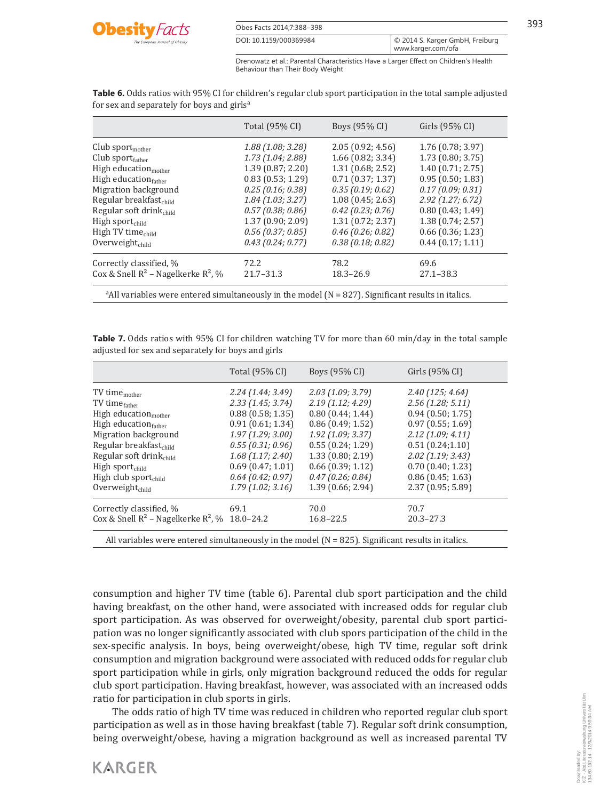

| Obes Facts 2014;7:388-398 |                                                         | 393 |
|---------------------------|---------------------------------------------------------|-----|
| DOI: 10.1159/000369984    | © 2014 S. Karger GmbH, Freiburg<br>l www.karger.com/ofa |     |

|                                            | Total (95% CI)        | Boys (95% CI)       | Girls (95% CI)      |
|--------------------------------------------|-----------------------|---------------------|---------------------|
| $Club$ sport $_{mother}$                   | $1.88$ (1.08; 3.28)   | 2.05(0.92; 4.56)    | $1.76$ (0.78; 3.97) |
| $\mathsf{Club}$ sport $_{\mathsf{father}}$ | $1.73$ $(1.04; 2.88)$ | $1.66$ (0.82; 3.34) | 1.73(0.80; 3.75)    |
| High education <sub>mother</sub>           | 1.39(0.87; 2.20)      | 1.31(0.68; 2.52)    | 1.40 (0.71; 2.75)   |
| High education <sub>father</sub>           | 0.83(0.53; 1.29)      | 0.71(0.37; 1.37)    | 0.95(0.50; 1.83)    |
| Migration background                       | 0.25(0.16; 0.38)      | 0.35(0.19; 0.62)    | 0.17(0.09; 0.31)    |
| Regular breakfast <sub>child</sub>         | $1.84$ (1.03; 3.27)   | 1.08(0.45; 2.63)    | $2.92$ (1.27; 6.72) |
| Regular soft drink <sub>child</sub>        | 0.57(0.38; 0.86)      | $0.42$ (0.23; 0.76) | 0.80(0.43; 1.49)    |
| High sportchild                            | 1.37(0.90; 2.09)      | 1.31 (0.72; 2.37)   | 1.38(0.74; 2.57)    |
| High TV time <sub>child</sub>              | $0.56$ (0.37; 0.85)   | $0.46$ (0.26; 0.82) | $0.66$ (0.36; 1.23) |
| Overweightchild                            | 0.43(0.24; 0.77)      | 0.38(0.18; 0.82)    | 0.44(0.17; 1.11)    |
| Correctly classified, %                    | 72.2                  | 78.2                | 69.6                |
| Cox & Snell $R^2$ – Nagelkerke $R^2$ , %   | $21.7 - 31.3$         | $18.3 - 26.9$       | $27.1 - 38.3$       |

**Table 6.** Odds ratios with 95% CI for children's regular club sport participation in the total sample adjusted for sex and separately for boys and girls<sup>a</sup>

**Table 7.** Odds ratios with 95% CI for children watching TV for more than 60 min/day in the total sample adjusted for sex and separately for boys and girls

|                                                                                                       | Total (95% CI)      | Boys (95% CI)       | Girls $(95\% \text{ CI})$ |
|-------------------------------------------------------------------------------------------------------|---------------------|---------------------|---------------------------|
| TV timemother                                                                                         | 2.24(1.44; 3.49)    | $2.03$ (1.09; 3.79) | 2.40(125; 4.64)           |
| TV time <sub>father</sub>                                                                             | 2.33(1.45; 3.74)    | 2.19(1.12; 4.29)    | 2.56(1.28; 5.11)          |
| High education <sub>mother</sub>                                                                      | 0.88(0.58; 1.35)    | 0.80(0.44; 1.44)    | 0.94(0.50; 1.75)          |
| High educationfather                                                                                  | 0.91(0.61; 1.34)    | 0.86(0.49; 1.52)    | 0.97(0.55; 1.69)          |
| Migration background                                                                                  | 1.97(1.29; 3.00)    | $1.92$ (1.09; 3.37) | $2.12$ (1.09; 4.11)       |
| Regular breakfast <sub>child</sub>                                                                    | 0.55(0.31; 0.96)    | 0.55(0.24; 1.29)    | 0.51(0.24;1.10)           |
| Regular soft drink <sub>child</sub>                                                                   | $1.68$ (1.17; 2.40) | 1.33(0.80; 2.19)    | $2.02$ (1.19; 3.43)       |
| High sportchild                                                                                       | 0.69(0.47; 1.01)    | $0.66$ (0.39; 1.12) | 0.70(0.40; 1.23)          |
| High club sport <sub>child</sub>                                                                      | 0.64(0.42; 0.97)    | 0.47(0.26; 0.84)    | 0.86(0.45; 1.63)          |
| Overweightchild                                                                                       | $1.79$ (1.02; 3.16) | 1.39(0.66; 2.94)    | 2.37 (0.95; 5.89)         |
| Correctly classified, %                                                                               | 69.1                | 70.0                | 70.7                      |
| Cox & Snell $R^2$ – Nagelkerke $R^2$ , %                                                              | $18.0 - 24.2$       | $16.8 - 22.5$       | $20.3 - 27.3$             |
| All variables were entered simultaneously in the model ( $N = 825$ ). Significant results in italics. |                     |                     |                           |

consumption and higher TV time (table 6). Parental club sport participation and the child having breakfast, on the other hand, were associated with increased odds for regular club sport participation. As was observed for overweight/obesity, parental club sport participation was no longer significantly associated with club spors participation of the child in the sex-specific analysis. In boys, being overweight/obese, high TV time, regular soft drink consumption and migration background were associated with reduced odds for regular club sport participation while in girls, only migration background reduced the odds for regular club sport participation. Having breakfast, however, was associated with an increased odds ratio for participation in club sports in girls.

 The odds ratio of high TV time was reduced in children who reported regular club sport participation as well as in those having breakfast (table 7). Regular soft drink consumption, being overweight/obese, having a migration background as well as increased parental TV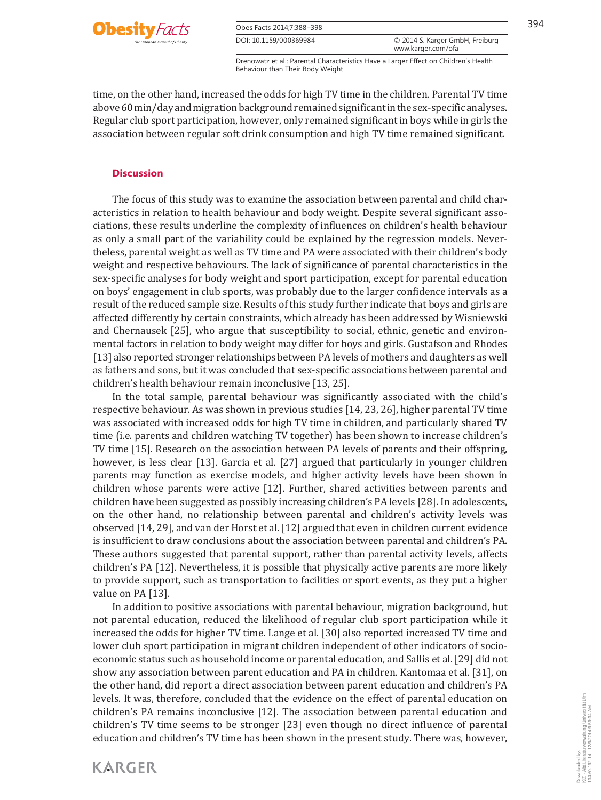

| Obes Facts 2014:7:388-398 |                                                       | 394 |
|---------------------------|-------------------------------------------------------|-----|
| DOI: 10.1159/000369984    | © 2014 S. Karger GmbH, Freiburg<br>www.karger.com/ofa |     |

time, on the other hand, increased the odds for high TV time in the children. Parental TV time above 60 min/day and migration background remained significant in the sex-specific analyses. Regular club sport participation, however, only remained significant in boys while in girls the association between regular soft drink consumption and high TV time remained significant.

#### **Discussion**

**KARGER** 

 The focus of this study was to examine the association between parental and child characteristics in relation to health behaviour and body weight. Despite several significant associations, these results underline the complexity of influences on children's health behaviour as only a small part of the variability could be explained by the regression models. Nevertheless, parental weight as well as TV time and PA were associated with their children's body weight and respective behaviours. The lack of significance of parental characteristics in the sex-specific analyses for body weight and sport participation, except for parental education on boys' engagement in club sports, was probably due to the larger confidence intervals as a result of the reduced sample size. Results of this study further indicate that boys and girls are affected differently by certain constraints, which already has been addressed by Wisniewski and Chernausek [25], who argue that susceptibility to social, ethnic, genetic and environmental factors in relation to body weight may differ for boys and girls. Gustafson and Rhodes [13] also reported stronger relationships between PA levels of mothers and daughters as well as fathers and sons, but it was concluded that sex-specific associations between parental and children's health behaviour remain inconclusive [13, 25] .

 In the total sample, parental behaviour was significantly associated with the child's respective behaviour. As was shown in previous studies [14, 23, 26] , higher parental TV time was associated with increased odds for high TV time in children, and particularly shared TV time (i.e. parents and children watching TV together) has been shown to increase children's TV time [15]. Research on the association between PA levels of parents and their offspring, however, is less clear [13]. Garcia et al. [27] argued that particularly in younger children parents may function as exercise models, and higher activity levels have been shown in children whose parents were active [12] . Further, shared activities between parents and children have been suggested as possibly increasing children's PA levels [28] . In adolescents, on the other hand, no relationship between parental and children's activity levels was observed [14, 29] , and van der Horst et al. [12] argued that even in children current evidence is insufficient to draw conclusions about the association between parental and children's PA. These authors suggested that parental support, rather than parental activity levels, affects children's PA [12] . Nevertheless, it is possible that physically active parents are more likely to provide support, such as transportation to facilities or sport events, as they put a higher value on PA [13].

 In addition to positive associations with parental behaviour, migration background, but not parental education, reduced the likelihood of regular club sport participation while it increased the odds for higher TV time. Lange et al. [30] also reported increased TV time and lower club sport participation in migrant children independent of other indicators of socioeconomic status such as household income or parental education, and Sallis et al. [29] did not show any association between parent education and PA in children. Kantomaa et al. [31] , on the other hand, did report a direct association between parent education and children's PA levels. It was, therefore, concluded that the evidence on the effect of parental education on children's PA remains inconclusive [12] . The association between parental education and children's TV time seems to be stronger [23] even though no direct influence of parental education and children's TV time has been shown in the present study. There was, however,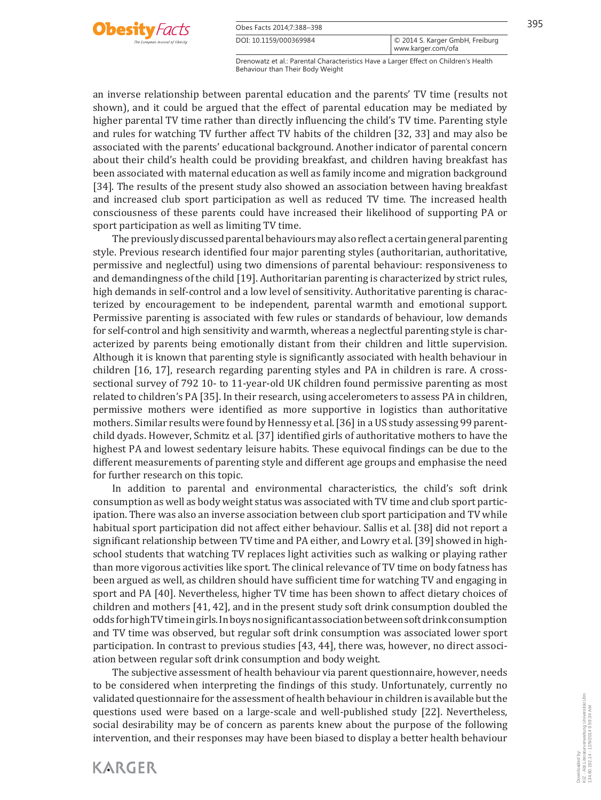

| Obes Facts 2014;7:388-398 |                                                             |  |
|---------------------------|-------------------------------------------------------------|--|
| DOI: 10.1159/000369984    | $\circ$ 2014 S. Karger GmbH, Freiburg<br>www.karger.com/ofa |  |

an inverse relationship between parental education and the parents' TV time (results not shown), and it could be argued that the effect of parental education may be mediated by higher parental TV time rather than directly influencing the child's TV time. Parenting style and rules for watching TV further affect TV habits of the children [32, 33] and may also be associated with the parents' educational background. Another indicator of parental concern about their child's health could be providing breakfast, and children having breakfast has been associated with maternal education as well as family income and migration background [34] . The results of the present study also showed an association between having breakfast and increased club sport participation as well as reduced TV time. The increased health consciousness of these parents could have increased their likelihood of supporting PA or sport participation as well as limiting TV time.

 The previously discussed parental behaviours may also reflect a certain general parenting style. Previous research identified four major parenting styles (authoritarian, authoritative, permissive and neglectful) using two dimensions of parental behaviour: responsiveness to and demandingness of the child [19] . Authoritarian parenting is characterized by strict rules, high demands in self-control and a low level of sensitivity. Authoritative parenting is characterized by encouragement to be independent, parental warmth and emotional support. Permissive parenting is associated with few rules or standards of behaviour, low demands for self-control and high sensitivity and warmth, whereas a neglectful parenting style is characterized by parents being emotionally distant from their children and little supervision. Although it is known that parenting style is significantly associated with health behaviour in children [16, 17] , research regarding parenting styles and PA in children is rare. A crosssectional survey of 792 10- to 11-year-old UK children found permissive parenting as most related to children's PA [35] . In their research, using accelerometers to assess PA in children, permissive mothers were identified as more supportive in logistics than authoritative mothers. Similar results were found by Hennessy et al. [36] in a US study assessing 99 parentchild dyads. However, Schmitz et al. [37] identified girls of authoritative mothers to have the highest PA and lowest sedentary leisure habits. These equivocal findings can be due to the different measurements of parenting style and different age groups and emphasise the need for further research on this topic.

 In addition to parental and environmental characteristics, the child's soft drink consumption as well as body weight status was associated with TV time and club sport participation. There was also an inverse association between club sport participation and TV while habitual sport participation did not affect either behaviour. Sallis et al. [38] did not report a significant relationship between TV time and PA either, and Lowry et al. [39] showed in highschool students that watching TV replaces light activities such as walking or playing rather than more vigorous activities like sport. The clinical relevance of TV time on body fatness has been argued as well, as children should have sufficient time for watching TV and engaging in sport and PA [40] . Nevertheless, higher TV time has been shown to affect dietary choices of children and mothers [41, 42] , and in the present study soft drink consumption doubled the odds for high TV time in girls. In boys no significant association between soft drink consumption and TV time was observed, but regular soft drink consumption was associated lower sport participation. In contrast to previous studies [43, 44] , there was, however, no direct association between regular soft drink consumption and body weight.

 The subjective assessment of health behaviour via parent questionnaire, however, needs to be considered when interpreting the findings of this study. Unfortunately, currently no validated questionnaire for the assessment of health behaviour in children is available but the questions used were based on a large-scale and well-published study [22] . Nevertheless, social desirability may be of concern as parents knew about the purpose of the following intervention, and their responses may have been biased to display a better health behaviour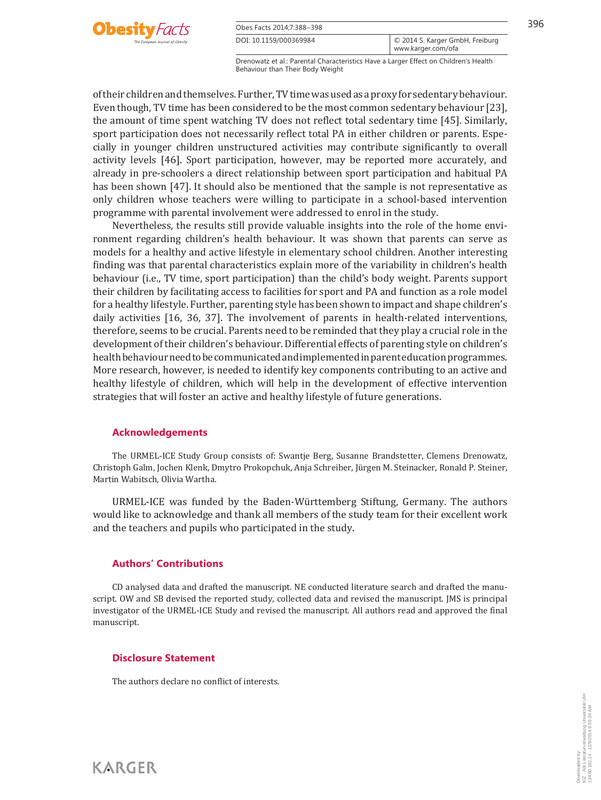

| Obes Facts 2014:7:388-398 |                                                       | 396 |
|---------------------------|-------------------------------------------------------|-----|
| DOI: 10.1159/000369984    | © 2014 S. Karger GmbH, Freiburg<br>www.karger.com/ofa |     |

of their children and themselves. Further, TV time was used as a proxy for sedentary behaviour. Even though, TV time has been considered to be the most common sedentary behaviour [23] , the amount of time spent watching TV does not reflect total sedentary time [45] . Similarly, sport participation does not necessarily reflect total PA in either children or parents. Especially in younger children unstructured activities may contribute significantly to overall activity levels [46]. Sport participation, however, may be reported more accurately, and already in pre-schoolers a direct relationship between sport participation and habitual PA has been shown [47]. It should also be mentioned that the sample is not representative as only children whose teachers were willing to participate in a school-based intervention programme with parental involvement were addressed to enrol in the study.

 Nevertheless, the results still provide valuable insights into the role of the home environment regarding children's health behaviour. It was shown that parents can serve as models for a healthy and active lifestyle in elementary school children. Another interesting finding was that parental characteristics explain more of the variability in children's health behaviour (i.e., TV time, sport participation) than the child's body weight. Parents support their children by facilitating access to facilities for sport and PA and function as a role model for a healthy lifestyle. Further, parenting style has been shown to impact and shape children's daily activities [16, 36, 37]. The involvement of parents in health-related interventions, therefore, seems to be crucial. Parents need to be reminded that they play a crucial role in the development of their children's behaviour. Differential effects of parenting style on children's health behaviour need to be communicated and implemented in parent education programmes. More research, however, is needed to identify key components contributing to an active and healthy lifestyle of children, which will help in the development of effective intervention strategies that will foster an active and healthy lifestyle of future generations.

#### **Acknowledgements**

 The URMEL-ICE Study Group consists of: Swantje Berg, Susanne Brandstetter, Clemens Drenowatz, Christoph Galm, Jochen Klenk, Dmytro Prokopchuk, Anja Schreiber, Jürgen M. Steinacker, Ronald P. Steiner, Martin Wabitsch, Olivia Wartha.

 URMEL-ICE was funded by the Baden-Württemberg Stiftung, Germany. The authors would like to acknowledge and thank all members of the study team for their excellent work and the teachers and pupils who participated in the study.

## **Authors' Contributions**

 CD analysed data and drafted the manuscript. NE conducted literature search and drafted the manuscript. OW and SB devised the reported study, collected data and revised the manuscript. JMS is principal investigator of the URMEL-ICE Study and revised the manuscript. All authors read and approved the final manuscript.

#### **Disclosure Statement**

**KARGER** 

The authors declare no conflict of interests.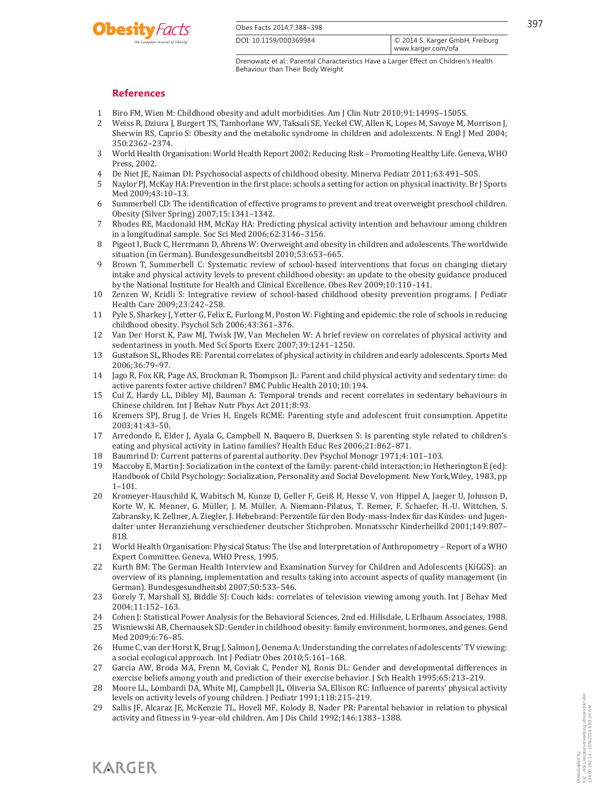

www.karger.com/ofa

## **References**

- 1 Biro FM, Wien M: Childhood obesity and adult morbidities. Am J Clin Nutr 2010;91:1499S–1505S.
- 2 Weiss R, Dziura J, Burgert TS, Tamborlane WV, Taksali SE, Yeckel CW, Allen K, Lopes M, Savoye M, Morrison J, Sherwin RS, Caprio S: Obesity and the metabolic syndrome in children and adolescents. N Engl J Med 2004; 350:2362–2374.
- 3 World Health Organisation: World Health Report 2002: Reducing Risk Promoting Healthy Life. Geneva, WHO Press, 2002.
- 4 De Niet JE, Naiman DI: Psychosocial aspects of childhood obesity. Minerva Pediatr 2011;63:491–505.
- 5 Naylor PJ, McKay HA: Prevention in the first place: schools a setting for action on physical inactivity. Br J Sports Med 2009;43:10–13.
- 6 Summerbell CD: The identification of effective programs to prevent and treat overweight preschool children. Obesity (Silver Spring) 2007;15:1341–1342.
- 7 Rhodes RE, Macdonald HM, McKay HA: Predicting physical activity intention and behaviour among children in a longitudinal sample. Soc Sci Med 2006;62:3146–3156.
- 8 Pigeot I, Buck C, Herrmann D, Ahrens W: Overweight and obesity in children and adolescents. The worldwide situation (in German). Bundesgesundheitsbl 2010;53:653–665.
- 9 Brown T, Summerbell C: Systematic review of school-based interventions that focus on changing dietary intake and physical activity levels to prevent childhood obesity: an update to the obesity guidance produced by the National Institute for Health and Clinical Excellence. Obes Rev 2009;10:110–141.
- 10 Zenzen W, Kridli S: Integrative review of school-based childhood obesity prevention programs. J Pediatr Health Care 2009;23:242–258.
- 11 Pyle S, Sharkey J, Yetter G, Felix E, Furlong M, Poston W: Fighting and epidemic: the role of schools in reducing childhood obesity. Psychol Sch 2006;43:361–376.
- 12 Van Der Horst K, Paw MJ, Twisk JW, Van Mechelen W: A brief review on correlates of physical activity and sedentariness in youth. Med Sci Sports Exerc 2007;39:1241–1250.
- 13 Gustafson SL, Rhodes RE: Parental correlates of physical activity in children and early adolescents. Sports Med 2006;36:79–97.
- 14 Jago R, Fox KR, Page AS, Brockman R, Thompson JL: Parent and child physical activity and sedentary time: do active parents foster active children? BMC Public Health 2010;10:194.
- 15 Cui Z, Hardy LL, Dibley MJ, Bauman A: Temporal trends and recent correlates in sedentary behaviours in Chinese children. Int J Behav Nutr Phys Act 2011;8:93.
- 16 Kremers SPJ, Brug J, de Vries H, Engels RCME: Parenting style and adolescent fruit consumption. Appetite 2003;41:43–50.
- 17 Arredondo E, Elder J, Ayala G, Campbell N, Baquero B, Duerksen S: Is parenting style related to children's eating and physical activity in Latino families? Health Educ Res 2006;21:862–871.
- 18 Baumrind D: Current patterns of parental authority. Dev Psychol Monogr 1971;4:101–103.
- 19 Maccoby E, Martin J: Socialization in the context of the family: parent-child interaction; in Hetherington E (ed): Handbook of Child Psychology: Socialization, Personality and Social Development. New York,Wiley, 1983, pp 1–101.
- 20 Kromeyer-Hauschild K, Wabitsch M, Kunze D, Geller F, Geiß H, Hesse V, von Hippel A, Jaeger U, Johnson D, Korte W, K. Menner, G. Müller, J. M. Müller, A. Niemann-Pilatus, T. Remer, F. Schaefer, H.-U. Wittchen, S. Zabransky, K. Zellner, A. Ziegler, J. Hebebrand: Perzentile für den Body-mass-Index für das Kindes- und Jugendalter unter Heranziehung verschiedener deutscher Stichproben. Monatsschr Kinderheilkd 2001;149:807– 818.
- 21 World Health Organisation: Physical Status: The Use and Interpretation of Anthropometry Report of a WHO Expert Committee. Geneva, WHO Press, 1995.
- 22 Kurth BM: The German Health Interview and Examination Survey for Children and Adolescents (KiGGS): an overview of its planning, implementation and results taking into account aspects of quality management (in German). Bundesgesundheitsbl 2007;50:533–546.
- 23 Gorely T, Marshall SJ, Biddle SJ: Couch kids: correlates of television viewing among youth. Int J Behav Med 2004;11:152–163.
- 24 Cohen J: Statistical Power Analysis for the Behavioral Sciences, 2nd ed. Hillsdale, L Erlbaum Associates, 1988.
- 25 Wisniewski AB, Chernausek SD: Gender in childhood obesity: family environment, hormones, and genes. Gend Med 2009;6:76–85.
- 26 Hume C, van der Horst K, Brug J, Salmon J, Oenema A: Understanding the correlates of adolescents' TV viewing: a social ecological approach. Int J Pediatr Obes 2010;5:161–168.
- 27 Garcia AW, Broda MA, Frenn M, Coviak C, Pender NJ, Ronis DL: Gender and developmental differences in exercise beliefs among youth and prediction of their exercise behavior. J Sch Health 1995;65:213–219.
- 28 Moore LL, Lombardi DA, White MJ, Campbell JL, Oliveria SA, Ellison RC: Influence of parents' physical activity levels on activity levels of young children. J Pediatr 1991;118:215–219.
- 29 Sallis JF, Alcaraz JE, McKenzie TL, Hovell MF, Kolody B, Nader PR: Parental behavior in relation to physical activity and fitness in 9-year-old children. Am J Dis Child 1992;146:1383–1388.